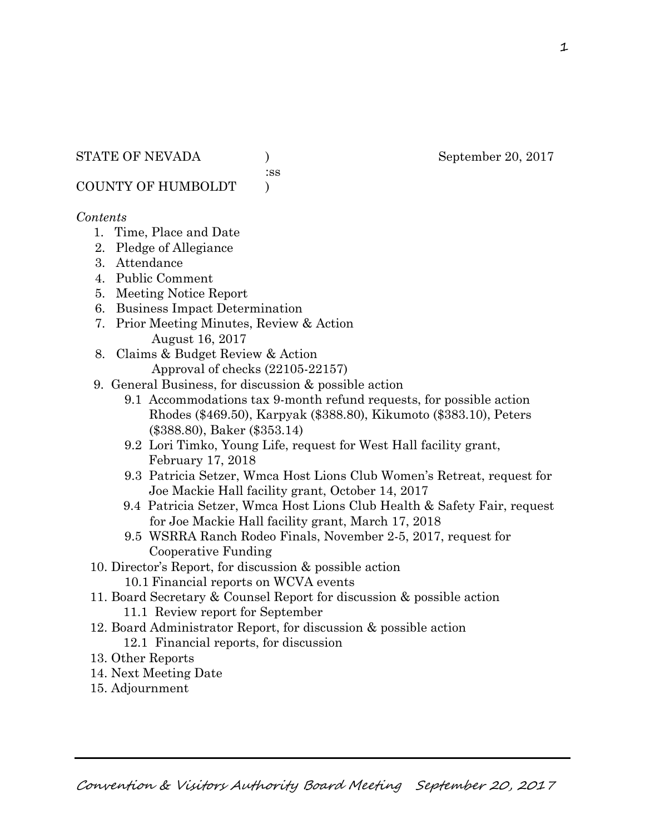:ss

COUNTY OF HUMBOLDT )

## *Contents*

- 1. Time, Place and Date
- 2. Pledge of Allegiance
- 3. Attendance
- 4. Public Comment
- 5. Meeting Notice Report
- 6. Business Impact Determination
- 7. Prior Meeting Minutes, Review & Action August 16, 2017
- 8. Claims & Budget Review & Action
	- Approval of checks (22105-22157)
- 9. General Business, for discussion & possible action
	- 9.1 Accommodations tax 9-month refund requests, for possible action Rhodes (\$469.50), Karpyak (\$388.80), Kikumoto (\$383.10), Peters (\$388.80), Baker (\$353.14)
	- 9.2 Lori Timko, Young Life, request for West Hall facility grant, February 17, 2018
	- 9.3 Patricia Setzer, Wmca Host Lions Club Women's Retreat, request for Joe Mackie Hall facility grant, October 14, 2017
	- 9.4 Patricia Setzer, Wmca Host Lions Club Health & Safety Fair, request for Joe Mackie Hall facility grant, March 17, 2018
	- 9.5 WSRRA Ranch Rodeo Finals, November 2-5, 2017, request for Cooperative Funding
- 10. Director's Report, for discussion & possible action
	- 10.1 Financial reports on WCVA events
- 11. Board Secretary & Counsel Report for discussion & possible action 11.1 Review report for September
- 12. Board Administrator Report, for discussion & possible action 12.1 Financial reports, for discussion
- 13. Other Reports
- 14. Next Meeting Date
- 15. Adjournment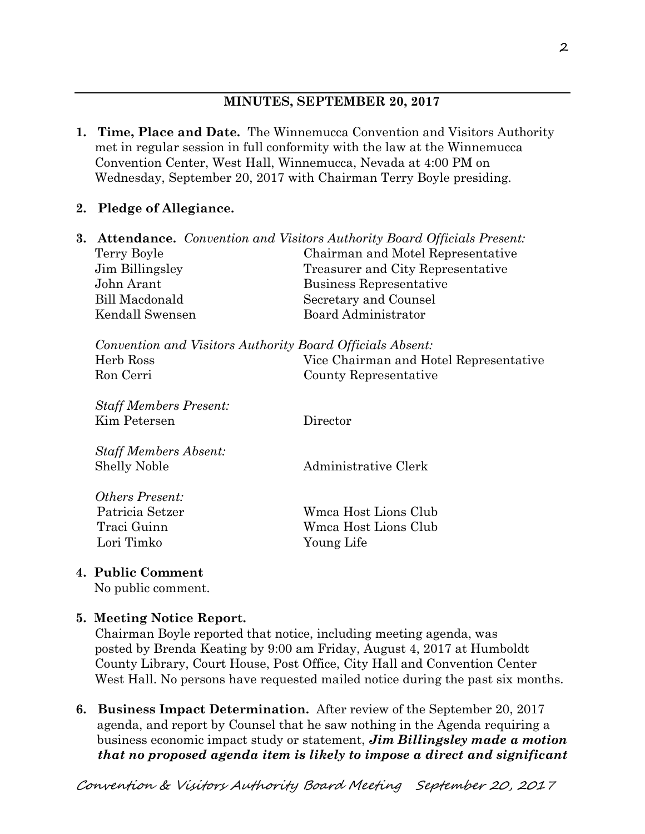# **MINUTES, SEPTEMBER 20, 2017**

- **1. Time, Place and Date.** The Winnemucca Convention and Visitors Authority met in regular session in full conformity with the law at the Winnemucca Convention Center, West Hall, Winnemucca, Nevada at 4:00 PM on Wednesday, September 20, 2017 with Chairman Terry Boyle presiding.
- **2. Pledge of Allegiance.**

| 3. |                                                           | <b>Attendance.</b> Convention and Visitors Authority Board Officials Present: |
|----|-----------------------------------------------------------|-------------------------------------------------------------------------------|
|    | Terry Boyle                                               | Chairman and Motel Representative                                             |
|    | Jim Billingsley                                           | Treasurer and City Representative                                             |
|    | John Arant                                                | Business Representative                                                       |
|    | Bill Macdonald                                            | Secretary and Counsel                                                         |
|    | Kendall Swensen                                           | <b>Board Administrator</b>                                                    |
|    | Convention and Visitors Authority Board Officials Absent: |                                                                               |
|    | Herb Ross                                                 | Vice Chairman and Hotel Representative                                        |
|    | Ron Cerri                                                 | County Representative                                                         |
|    | <b>Staff Members Present:</b>                             |                                                                               |
|    | Kim Petersen                                              | Director                                                                      |
|    | <b>Staff Members Absent:</b>                              |                                                                               |
|    | <b>Shelly Noble</b>                                       | Administrative Clerk                                                          |
|    | <i><b>Others Present:</b></i>                             |                                                                               |
|    | Patricia Setzer                                           | Wmca Host Lions Club                                                          |
|    | Traci Guinn                                               | Wmca Host Lions Club                                                          |
|    | Lori Timko                                                | Young Life                                                                    |
|    |                                                           |                                                                               |

**4. Public Comment** 

No public comment.

# **5. Meeting Notice Report.**

Chairman Boyle reported that notice, including meeting agenda, was posted by Brenda Keating by 9:00 am Friday, August 4, 2017 at Humboldt County Library, Court House, Post Office, City Hall and Convention Center West Hall. No persons have requested mailed notice during the past six months.

**6. Business Impact Determination.** After review of the September 20, 2017 agenda, and report by Counsel that he saw nothing in the Agenda requiring a business economic impact study or statement, *Jim Billingsley made a motion that no proposed agenda item is likely to impose a direct and significant*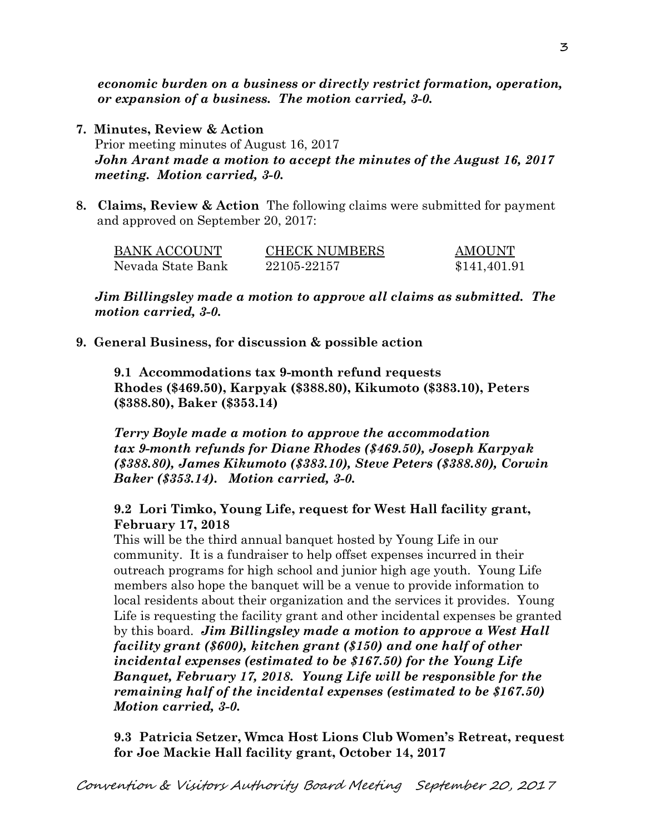*economic burden on a business or directly restrict formation, operation, or expansion of a business. The motion carried, 3-0.* 

- **7. Minutes, Review & Action**  Prior meeting minutes of August 16, 2017 *John Arant made a motion to accept the minutes of the August 16, 2017 meeting. Motion carried, 3-0.*
- **8. Claims, Review & Action** The following claims were submitted for payment and approved on September 20, 2017:

| BANK ACCOUNT      | <b>CHECK NUMBERS</b> | <b>AMOUNT</b> |
|-------------------|----------------------|---------------|
| Nevada State Bank | 22105-22157          | \$141,401.91  |

*Jim Billingsley made a motion to approve all claims as submitted. The motion carried, 3-0.* 

**9. General Business, for discussion & possible action** 

**9.1 Accommodations tax 9-month refund requests Rhodes (\$469.50), Karpyak (\$388.80), Kikumoto (\$383.10), Peters (\$388.80), Baker (\$353.14)** 

*Terry Boyle made a motion to approve the accommodation tax 9-month refunds for Diane Rhodes (\$469.50), Joseph Karpyak (\$388.80), James Kikumoto (\$383.10), Steve Peters (\$388.80), Corwin Baker (\$353.14). Motion carried, 3-0.* 

# **9.2 Lori Timko, Young Life, request for West Hall facility grant, February 17, 2018**

This will be the third annual banquet hosted by Young Life in our community. It is a fundraiser to help offset expenses incurred in their outreach programs for high school and junior high age youth. Young Life members also hope the banquet will be a venue to provide information to local residents about their organization and the services it provides. Young Life is requesting the facility grant and other incidental expenses be granted by this board. *Jim Billingsley made a motion to approve a West Hall facility grant (\$600), kitchen grant (\$150) and one half of other incidental expenses (estimated to be \$167.50) for the Young Life Banquet, February 17, 2018. Young Life will be responsible for the remaining half of the incidental expenses (estimated to be \$167.50) Motion carried, 3-0.* 

**9.3 Patricia Setzer, Wmca Host Lions Club Women's Retreat, request for Joe Mackie Hall facility grant, October 14, 2017**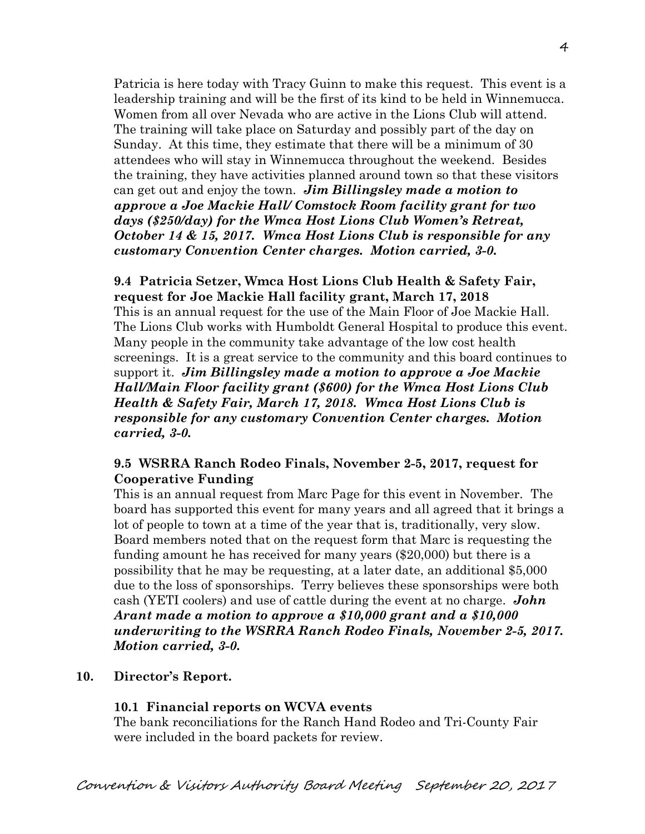Patricia is here today with Tracy Guinn to make this request. This event is a leadership training and will be the first of its kind to be held in Winnemucca. Women from all over Nevada who are active in the Lions Club will attend. The training will take place on Saturday and possibly part of the day on Sunday. At this time, they estimate that there will be a minimum of 30 attendees who will stay in Winnemucca throughout the weekend. Besides the training, they have activities planned around town so that these visitors can get out and enjoy the town. *Jim Billingsley made a motion to approve a Joe Mackie Hall/ Comstock Room facility grant for two days (\$250/day) for the Wmca Host Lions Club Women's Retreat, October 14 & 15, 2017. Wmca Host Lions Club is responsible for any customary Convention Center charges. Motion carried, 3-0.* 

# **9.4 Patricia Setzer, Wmca Host Lions Club Health & Safety Fair, request for Joe Mackie Hall facility grant, March 17, 2018**  This is an annual request for the use of the Main Floor of Joe Mackie Hall. The Lions Club works with Humboldt General Hospital to produce this event. Many people in the community take advantage of the low cost health screenings. It is a great service to the community and this board continues to support it. *Jim Billingsley made a motion to approve a Joe Mackie Hall/Main Floor facility grant (\$600) for the Wmca Host Lions Club Health & Safety Fair, March 17, 2018. Wmca Host Lions Club is responsible for any customary Convention Center charges. Motion carried, 3-0.*

# **9.5 WSRRA Ranch Rodeo Finals, November 2-5, 2017, request for Cooperative Funding**

This is an annual request from Marc Page for this event in November. The board has supported this event for many years and all agreed that it brings a lot of people to town at a time of the year that is, traditionally, very slow. Board members noted that on the request form that Marc is requesting the funding amount he has received for many years (\$20,000) but there is a possibility that he may be requesting, at a later date, an additional \$5,000 due to the loss of sponsorships. Terry believes these sponsorships were both cash (YETI coolers) and use of cattle during the event at no charge. *John Arant made a motion to approve a \$10,000 grant and a \$10,000 underwriting to the WSRRA Ranch Rodeo Finals, November 2-5, 2017. Motion carried, 3-0.* 

# **10. Director's Report.**

# **10.1 Financial reports on WCVA events**

The bank reconciliations for the Ranch Hand Rodeo and Tri-County Fair were included in the board packets for review.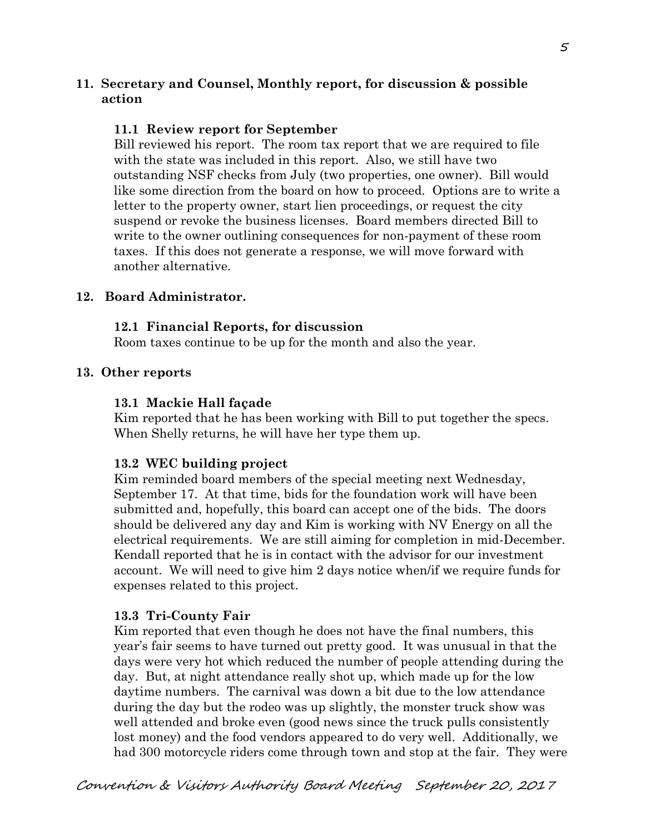# **11. Secretary and Counsel, Monthly report, for discussion & possible action**

# **11.1 Review report for September**

Bill reviewed his report. The room tax report that we are required to file with the state was included in this report. Also, we still have two outstanding NSF checks from July (two properties, one owner). Bill would like some direction from the board on how to proceed. Options are to write a letter to the property owner, start lien proceedings, or request the city suspend or revoke the business licenses. Board members directed Bill to write to the owner outlining consequences for non-payment of these room taxes. If this does not generate a response, we will move forward with another alternative.

## **12. Board Administrator.**

#### **12.1 Financial Reports, for discussion**

Room taxes continue to be up for the month and also the year.

#### **13. Other reports**

#### **13.1 Mackie Hall façade**

Kim reported that he has been working with Bill to put together the specs. When Shelly returns, he will have her type them up.

## **13.2 WEC building project**

Kim reminded board members of the special meeting next Wednesday, September 17. At that time, bids for the foundation work will have been submitted and, hopefully, this board can accept one of the bids. The doors should be delivered any day and Kim is working with NV Energy on all the electrical requirements. We are still aiming for completion in mid-December. Kendall reported that he is in contact with the advisor for our investment account. We will need to give him 2 days notice when/if we require funds for expenses related to this project.

## **13.3 Tri-County Fair**

Kim reported that even though he does not have the final numbers, this year's fair seems to have turned out pretty good. It was unusual in that the days were very hot which reduced the number of people attending during the day. But, at night attendance really shot up, which made up for the low daytime numbers. The carnival was down a bit due to the low attendance during the day but the rodeo was up slightly, the monster truck show was well attended and broke even (good news since the truck pulls consistently lost money) and the food vendors appeared to do very well. Additionally, we had 300 motorcycle riders come through town and stop at the fair. They were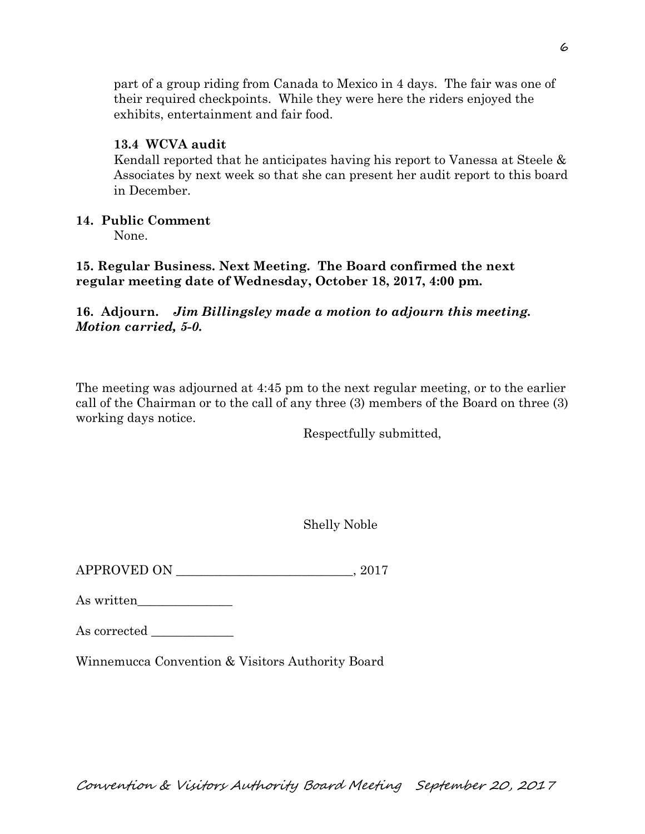part of a group riding from Canada to Mexico in 4 days. The fair was one of their required checkpoints. While they were here the riders enjoyed the exhibits, entertainment and fair food.

# **13.4 WCVA audit**

Kendall reported that he anticipates having his report to Vanessa at Steele & Associates by next week so that she can present her audit report to this board in December.

# **14. Public Comment**

None.

**15. Regular Business. Next Meeting. The Board confirmed the next regular meeting date of Wednesday, October 18, 2017, 4:00 pm.** 

**16. Adjourn.** *Jim Billingsley made a motion to adjourn this meeting. Motion carried, 5-0.*

The meeting was adjourned at 4:45 pm to the next regular meeting, or to the earlier call of the Chairman or to the call of any three (3) members of the Board on three (3) working days notice.

Respectfully submitted,

Shelly Noble

APPROVED ON  $.2017$ 

As written\_\_\_\_\_\_\_\_\_\_\_\_\_\_\_

Winnemucca Convention & Visitors Authority Board